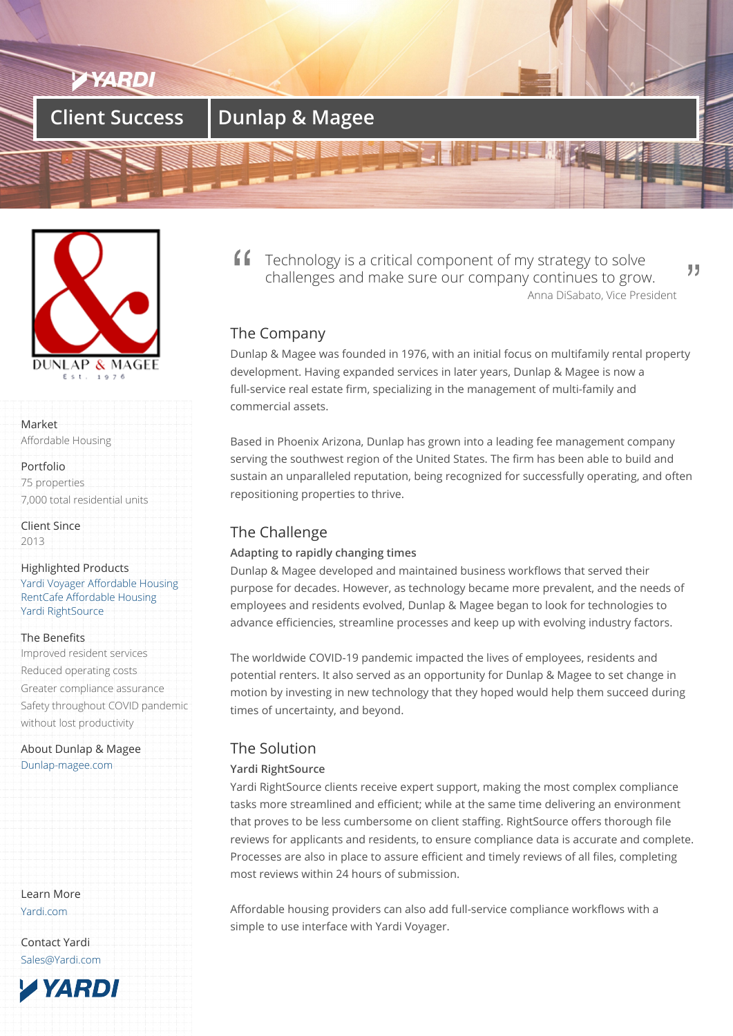# **Client Success | Dunlap & Magee**



Market

Affordable Housing

Portfolio 75 properties 7,000 total residential units

Client Since 2013

Highlighted Products Yardi Voyager Affordable Housing RentCafe Affordable Housing Yardi RightSource

#### [The Benefits](/products/voyager-for-affordable-housing/)

[Improved resident services](/products/rentcafe-affordable/) [Reduced operatin](/product/rightsource)g costs Greater compliance assurance Safety throughout COVID pandemic without lost productivity

About Dunlap & Magee Dunlap-magee.com

Learn More Yardi.com

Contact Yardi Sales@Yardi.com

**YARDI** 

Technology is a critical component of my strategy to solve ,, challenges and make sure our company continues to grow. Anna DiSabato, Vice President

## The Company

Dunlap & Magee was founded in 1976, with an initial focus on multifamily rental property development. Having expanded services in later years, Dunlap & Magee is now a full-service real estate firm, specializing in the management of multi-family and commercial assets.

Based in Phoenix Arizona, Dunlap has grown into a leading fee management company serving the southwest region of the United States. The firm has been able to build and sustain an unparalleled reputation, being recognized for successfully operating, and often repositioning properties to thrive.

# The Challenge

### **Adapting to rapidly changing times**

Dunlap & Magee developed and maintained business workflows that served their purpose for decades. However, as technology became more prevalent, and the needs of employees and residents evolved, Dunlap & Magee began to look for technologies to advance efficiencies, streamline processes and keep up with evolving industry factors.

The worldwide COVID-19 pandemic impacted the lives of employees, residents and potential renters. It also served as an opportunity for Dunlap & Magee to set change in motion by investing in new technology that they hoped would help them succeed during times of uncertainty, and beyond.

## The Solution

### **Yardi RightSource**

Yardi RightSource clients receive expert support, making the most complex compliance tasks more streamlined and efficient; while at the same time delivering an environment that proves to be less cumbersome on client staffing. RightSource offers thorough file reviews for applicants and residents, to ensure compliance data is accurate and complete. Processes are also in place to assure efficient and timely reviews of all files, completing most reviews within 24 hours of submission.

Affordable housing providers can also add full-service compliance workflows with a simple to use interface with Yardi Voyager.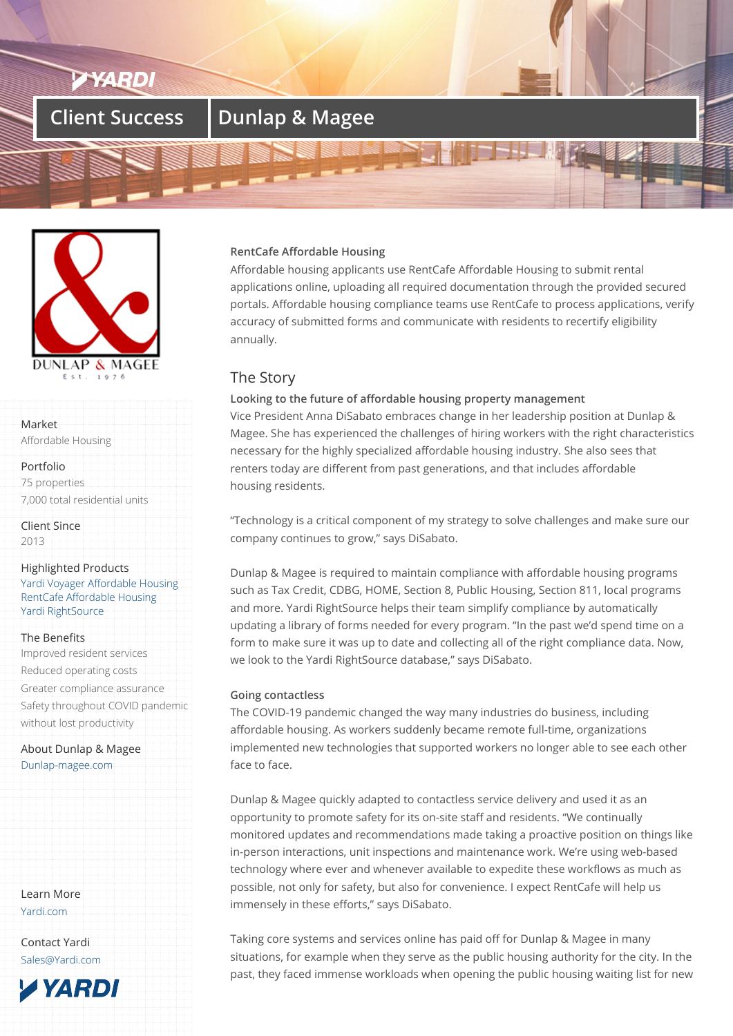# **Client Success | Dunlap & Magee**



Market

Affordable Housing

### Portfolio 75 properties 7,000 total residential units

Client Since 2013

#### Highlighted Products Yardi Voyager Affordable Housing RentCafe Affordable Housing Yardi RightSource

### [The Benefits](/products/voyager-for-affordable-housing/)

[Improved resident services](/products/rentcafe-affordable/) [Reduced operatin](/product/rightsource)g costs Greater compliance assurance Safety throughout COVID pandemic without lost productivity

About Dunlap & Magee Dunlap-magee.com

Learn More Yardi.com

Contact Yardi Sales@Yardi.com

**TYARDI** 

### **RentCafe Affordable Housing**

Affordable housing applicants use RentCafe Affordable Housing to submit rental applications online, uploading all required documentation through the provided secured portals. Affordable housing compliance teams use RentCafe to process applications, verify accuracy of submitted forms and communicate with residents to recertify eligibility annually.

## The Story

### **Looking to the future of affordable housing property management**

Vice President Anna DiSabato embraces change in her leadership position at Dunlap & Magee. She has experienced the challenges of hiring workers with the right characteristics necessary for the highly specialized affordable housing industry. She also sees that renters today are different from past generations, and that includes affordable housing residents.

"Technology is a critical component of my strategy to solve challenges and make sure our company continues to grow," says DiSabato.

Dunlap & Magee is required to maintain compliance with affordable housing programs such as Tax Credit, CDBG, HOME, Section 8, Public Housing, Section 811, local programs and more. Yardi RightSource helps their team simplify compliance by automatically updating a library of forms needed for every program. "In the past we'd spend time on a form to make sure it was up to date and collecting all of the right compliance data. Now, we look to the Yardi RightSource database," says DiSabato.

### **Going contactless**

The COVID-19 pandemic changed the way many industries do business, including affordable housing. As workers suddenly became remote full-time, organizations implemented new technologies that supported workers no longer able to see each other face to face.

Dunlap & Magee quickly adapted to contactless service delivery and used it as an opportunity to promote safety for its on-site staff and residents. "We continually monitored updates and recommendations made taking a proactive position on things like in-person interactions, unit inspections and maintenance work. We're using web-based technology where ever and whenever available to expedite these workflows as much as possible, not only for safety, but also for convenience. I expect RentCafe will help us immensely in these efforts," says DiSabato.

Taking core systems and services online has paid off for Dunlap & Magee in many situations, for example when they serve as the public housing authority for the city. In the past, they faced immense workloads when opening the public housing waiting list for new